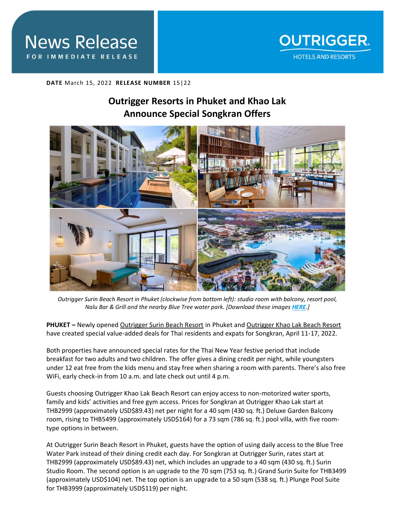

**DATE** March 15, 2022 **RELEASE NUMBER** 15|22

# **Outrigger Resorts in Phuket and Khao Lak Announce Special Songkran Offers**



*Outrigger Surin Beach Resort in Phuket (clockwise from bottom left): studio room with balcony, resort pool, Nalu Bar & Grill and the nearby Blue Tree water park. [Download these images [HERE](https://app.box.com/s/98ww64gmvu3ebmwekjjv02h87gr2os8w).]*

**PHUKET –** Newly opened [Outrigger Surin Beach Resort](https://www.outrigger.com/hotels-resorts/thailand/outrigger-surin-beach-resort) in Phuket and [Outrigger Khao Lak Beach Resort](https://www.outrigger.com/hotels-resorts/thailand/outrigger-khao-lak-beach-resort) have created special value-added deals for Thai residents and expats for Songkran, April 11-17, 2022.

Both properties have announced special rates for the Thai New Year festive period that include breakfast for two adults and two children. The offer gives a dining credit per night, while youngsters under 12 eat free from the kids menu and stay free when sharing a room with parents. There's also free WiFi, early check-in from 10 a.m. and late check out until 4 p.m.

Guests choosing Outrigger Khao Lak Beach Resort can enjoy access to non-motorized water sports, family and kids' activities and free gym access. Prices for Songkran at Outrigger Khao Lak start at THB2999 (approximately USD\$89.43) net per night for a 40 sqm (430 sq. ft.) Deluxe Garden Balcony room, rising to THB5499 (approximately USD\$164) for a 73 sqm (786 sq. ft.) pool villa, with five roomtype options in between.

At Outrigger Surin Beach Resort in Phuket, guests have the option of using daily access to the Blue Tree Water Park instead of their dining credit each day. For Songkran at Outrigger Surin, rates start at THB2999 (approximately USD\$89.43) net, which includes an upgrade to a 40 sqm (430 sq. ft.) Surin Studio Room. The second option is an upgrade to the 70 sqm (753 sq. ft.) Grand Surin Suite for THB3499 (approximately USD\$104) net. The top option is an upgrade to a 50 sqm (538 sq. ft.) Plunge Pool Suite for THB3999 (approximately USD\$119) per night.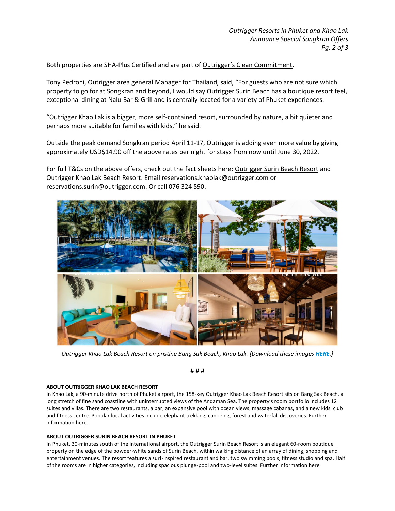Both properties are SHA-Plus Certified and are part of [Outrigger's Clean Commitment](https://www.outrigger.com/landing-pages/services/clean-commitment).

Tony Pedroni, Outrigger area general Manager for Thailand, said, "For guests who are not sure which property to go for at Songkran and beyond, I would say Outrigger Surin Beach has a boutique resort feel, exceptional dining at Nalu Bar & Grill and is centrally located for a variety of Phuket experiences.

"Outrigger Khao Lak is a bigger, more self-contained resort, surrounded by nature, a bit quieter and perhaps more suitable for families with kids," he said.

Outside the peak demand Songkran period April 11-17, Outrigger is adding even more value by giving approximately USD\$14.90 off the above rates per night for stays from now until June 30, 2022.

For full T&Cs on the above offers, check out the fact sheets here: [Outrigger Surin Beach Resort](https://drive.google.com/file/d/1zdcHW3hnA22LoDbUYOq49o05gz_tV--E/view?usp=sharing) and [Outrigger Khao Lak Beach Resort.](https://drive.google.com/file/d/1rytwhCSIGaX442ToAqlo41fHLw45ys6A/view?usp=sharing) Emai[l reservations.khaolak@outrigger.com](mailto:reservations.khaolak@outrigger.com) or [reservations.surin@outrigger.com.](mailto:reservations.surin@outrigger.com) Or call 076 324 590.



*Outrigger Khao Lak Beach Resort on pristine Bang Sak Beach, Khao Lak. [Download these images [HERE](https://app.box.com/s/98ww64gmvu3ebmwekjjv02h87gr2os8w).]*

# # #

### **ABOUT OUTRIGGER KHAO LAK BEACH RESORT**

In Khao Lak, a 90-minute drive north of Phuket airport, the 158-key Outrigger Khao Lak Beach Resort sits on Bang Sak Beach, a long stretch of fine sand coastline with uninterrupted views of the Andaman Sea. The property's room portfolio includes 12 suites and villas. There are two restaurants, a bar, an expansive pool with ocean views, massage cabanas, and a new kids' club and fitness centre. Popular local activities include elephant trekking, canoeing, forest and waterfall discoveries. Further informatio[n here.](https://www.outrigger.com/hotels-resorts/thailand/outrigger-khao-lak-beach-resort)

### **ABOUT OUTRIGGER SURIN BEACH RESORT IN PHUKET**

In Phuket, 30-minutes south of the international airport, the Outrigger Surin Beach Resort is an elegant 60-room boutique property on the edge of the powder-white sands of Surin Beach, within walking distance of an array of dining, shopping and entertainment venues. The resort features a surf-inspired restaurant and bar, two swimming pools, fitness studio and spa. Half of the rooms are in higher categories, including spacious plunge-pool and two-level suites. Further informatio[n here](https://www.outrigger.com/hotels-resorts/thailand/outrigger-surin-beach-resort)